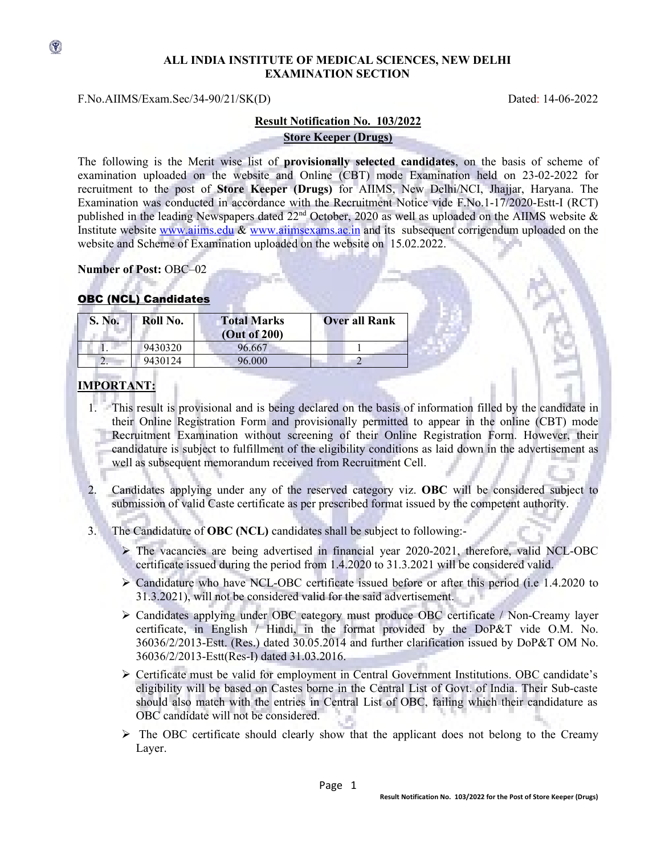## **ALL INDIA INSTITUTE OF MEDICAL SCIENCES, NEW DELHI EXAMINATION SECTION**

#### F.No.AIIMS/Exam.Sec/34-90/21/SK(D) Dated: 14-06-2022

 $\circledast$ 

# **Result Notification No. 103/2022 Store Keeper (Drugs)**

The following is the Merit wise list of **provisionally selected candidates**, on the basis of scheme of examination uploaded on the website and Online (CBT) mode Examination held on 23-02-2022 for recruitment to the post of **Store Keeper (Drugs)** for AIIMS, New Delhi/NCI, Jhajjar, Haryana. The Examination was conducted in accordance with the Recruitment Notice vide F.No.1-17/2020-Estt-I (RCT) published in the leading Newspapers dated 22<sup>nd</sup> October, 2020 as well as uploaded on the AIIMS website & Institute website [www.aiims.edu](http://www.aiims.edu/) & [www.aiimsexams.ac.in](http://www.aiimsexams.ac.in/) and its subsequent corrigendum uploaded on the website and Scheme of Examination uploaded on the website on 15.02.2022.

**Number of Post:** OBC–02

## OBC (NCL) Candidates

| S. No. | Roll No. | <b>Total Marks</b><br>(Out of 200) | <b>Over all Rank</b> |
|--------|----------|------------------------------------|----------------------|
|        | 9430320  | 96.667                             |                      |
|        | 9430124  | 96.000                             |                      |

# **IMPORTANT:**

- 1. This result is provisional and is being declared on the basis of information filled by the candidate in their Online Registration Form and provisionally permitted to appear in the online (CBT) mode Recruitment Examination without screening of their Online Registration Form. However, their candidature is subject to fulfillment of the eligibility conditions as laid down in the advertisement as well as subsequent memorandum received from Recruitment Cell.
- 2. Candidates applying under any of the reserved category viz. **OBC** will be considered subject to submission of valid Caste certificate as per prescribed format issued by the competent authority.
- 3. The Candidature of **OBC (NCL)** candidates shall be subject to following:-
	- $\triangleright$  The vacancies are being advertised in financial year 2020-2021, therefore, valid NCL-OBC certificate issued during the period from 1.4.2020 to 31.3.2021 will be considered valid.
	- $\triangleright$  Candidature who have NCL-OBC certificate issued before or after this period (i.e 1.4.2020 to 31.3.2021), will not be considered valid for the said advertisement.
	- Candidates applying under OBC category must produce OBC certificate / Non-Creamy layer certificate, in English / Hindi, in the format provided by the DoP&T vide O.M. No. 36036/2/2013-Estt. (Res.) dated 30.05.2014 and further clarification issued by DoP&T OM No. 36036/2/2013-Estt(Res-I) dated 31.03.2016.
	- $\triangleright$  Certificate must be valid for employment in Central Government Institutions. OBC candidate's eligibility will be based on Castes borne in the Central List of Govt. of India. Their Sub-caste should also match with the entries in Central List of OBC, failing which their candidature as OBC candidate will not be considered.
	- $\triangleright$  The OBC certificate should clearly show that the applicant does not belong to the Creamy Layer.